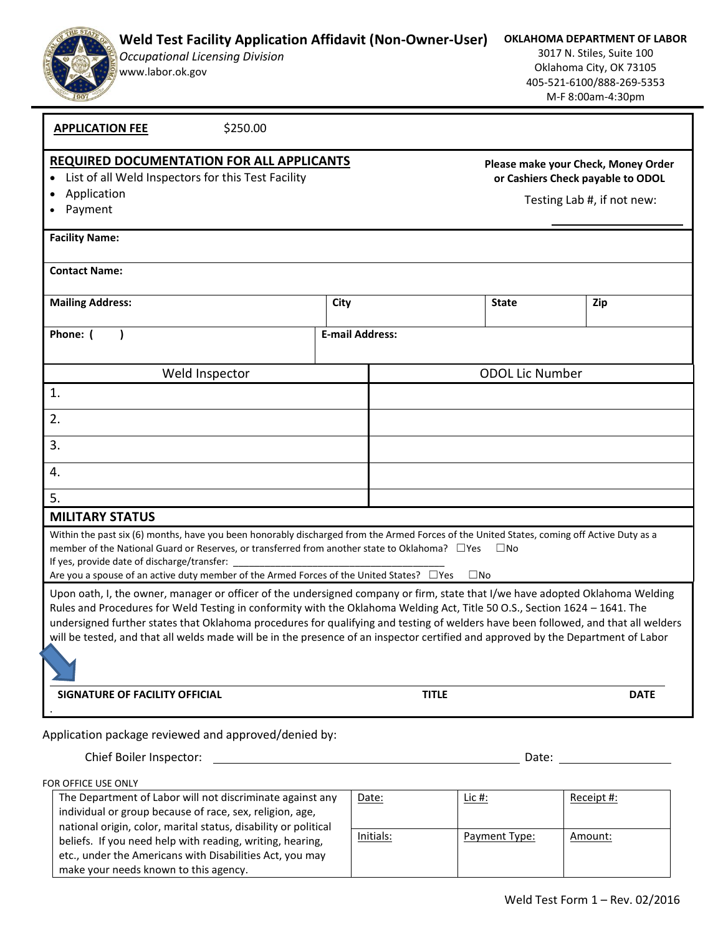| <b>Occupational Licensing Division</b><br>www.labor.ok.gov                                                                                                                                                                                                                                                                                                                                                                                                                                                                | 3017 N. Stiles, Suite 100<br>Oklahoma City, OK 73105<br>405-521-6100/888-269-5353<br>M-F 8:00am-4:30pm |                                                                                                        |                        |             |
|---------------------------------------------------------------------------------------------------------------------------------------------------------------------------------------------------------------------------------------------------------------------------------------------------------------------------------------------------------------------------------------------------------------------------------------------------------------------------------------------------------------------------|--------------------------------------------------------------------------------------------------------|--------------------------------------------------------------------------------------------------------|------------------------|-------------|
| \$250.00<br><b>APPLICATION FEE</b>                                                                                                                                                                                                                                                                                                                                                                                                                                                                                        |                                                                                                        |                                                                                                        |                        |             |
| <b>REQUIRED DOCUMENTATION FOR ALL APPLICANTS</b><br>List of all Weld Inspectors for this Test Facility<br>Application<br>Payment                                                                                                                                                                                                                                                                                                                                                                                          |                                                                                                        | Please make your Check, Money Order<br>or Cashiers Check payable to ODOL<br>Testing Lab #, if not new: |                        |             |
| <b>Facility Name:</b>                                                                                                                                                                                                                                                                                                                                                                                                                                                                                                     |                                                                                                        |                                                                                                        |                        |             |
| <b>Contact Name:</b>                                                                                                                                                                                                                                                                                                                                                                                                                                                                                                      |                                                                                                        |                                                                                                        |                        |             |
| <b>Mailing Address:</b>                                                                                                                                                                                                                                                                                                                                                                                                                                                                                                   | City                                                                                                   |                                                                                                        | <b>State</b>           | Zip         |
| Phone: (                                                                                                                                                                                                                                                                                                                                                                                                                                                                                                                  |                                                                                                        | <b>E-mail Address:</b>                                                                                 |                        |             |
| Weld Inspector                                                                                                                                                                                                                                                                                                                                                                                                                                                                                                            |                                                                                                        |                                                                                                        | <b>ODOL Lic Number</b> |             |
| 1.                                                                                                                                                                                                                                                                                                                                                                                                                                                                                                                        |                                                                                                        |                                                                                                        |                        |             |
| 2.                                                                                                                                                                                                                                                                                                                                                                                                                                                                                                                        |                                                                                                        |                                                                                                        |                        |             |
| 3.                                                                                                                                                                                                                                                                                                                                                                                                                                                                                                                        |                                                                                                        |                                                                                                        |                        |             |
| 4.                                                                                                                                                                                                                                                                                                                                                                                                                                                                                                                        |                                                                                                        |                                                                                                        |                        |             |
| 5.                                                                                                                                                                                                                                                                                                                                                                                                                                                                                                                        |                                                                                                        |                                                                                                        |                        |             |
| <b>MILITARY STATUS</b>                                                                                                                                                                                                                                                                                                                                                                                                                                                                                                    |                                                                                                        |                                                                                                        |                        |             |
| Within the past six (6) months, have you been honorably discharged from the Armed Forces of the United States, coming off Active Duty as a<br>member of the National Guard or Reserves, or transferred from another state to Oklahoma? □ Yes<br>If yes, provide date of discharge/transfer:<br>Are you a spouse of an active duty member of the Armed Forces of the United States? □ Yes<br>Upon oath, I, the owner, manager or officer of the undersigned company or firm, state that I/we have adopted Oklahoma Welding |                                                                                                        |                                                                                                        | $\Box$ No<br>$\Box$ No |             |
| Rules and Procedures for Weld Testing in conformity with the Oklahoma Welding Act, Title 50 O.S., Section 1624 - 1641. The<br>undersigned further states that Oklahoma procedures for qualifying and testing of welders have been followed, and that all welders<br>will be tested, and that all welds made will be in the presence of an inspector certified and approved by the Department of Labor                                                                                                                     |                                                                                                        |                                                                                                        |                        |             |
| SIGNATURE OF FACILITY OFFICIAL                                                                                                                                                                                                                                                                                                                                                                                                                                                                                            |                                                                                                        | <b>TITLE</b>                                                                                           |                        | <b>DATE</b> |
| Application package reviewed and approved/denied by:                                                                                                                                                                                                                                                                                                                                                                                                                                                                      |                                                                                                        |                                                                                                        |                        |             |
| Chief Boiler Inspector:                                                                                                                                                                                                                                                                                                                                                                                                                                                                                                   |                                                                                                        |                                                                                                        | Date:                  |             |
| FOR OFFICE USE ONLY                                                                                                                                                                                                                                                                                                                                                                                                                                                                                                       |                                                                                                        |                                                                                                        |                        |             |
| The Department of Labor will not discriminate against any<br>individual or group because of race, sex, religion, age,<br>national origin, color, marital status, disability or political                                                                                                                                                                                                                                                                                                                                  |                                                                                                        | Date:                                                                                                  | <u>Lic #:</u>          | Receipt #:  |
| beliefs. If you need help with reading, writing, hearing,                                                                                                                                                                                                                                                                                                                                                                                                                                                                 |                                                                                                        | Initials:                                                                                              | Payment Type:          | Amount:     |

**Weld Test Facility Application Affidavit (Non-Owner-User)** 

etc., under the Americans with Disabilities Act, you may

make your needs known to this agency.

**OKLAHOMA DEPARTMENT OF LABOR**